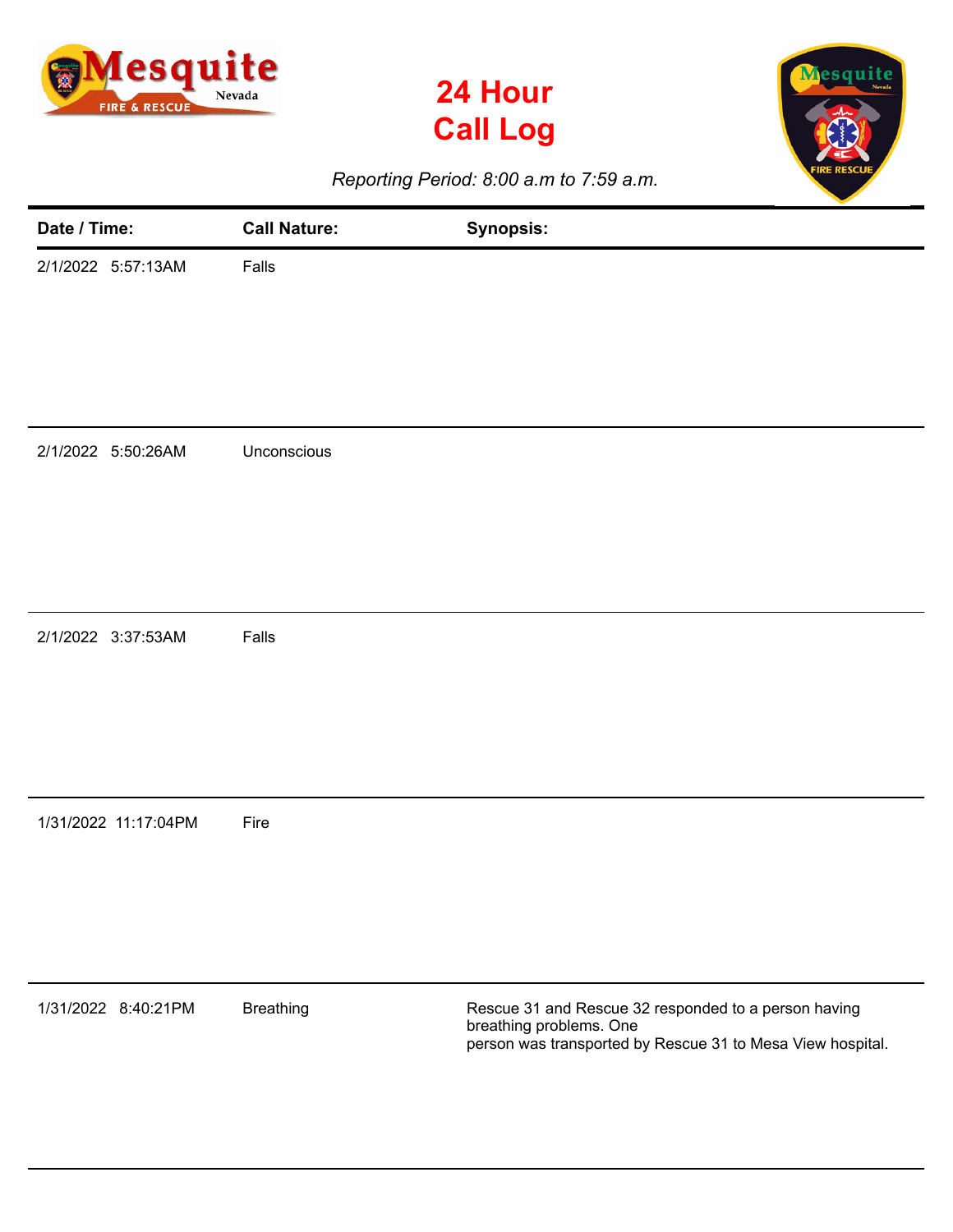





*Reporting Period: 8:00 a.m to 7:59 a.m.*

| Date / Time:         | <b>Call Nature:</b> | <b>Synopsis:</b>                                                                                                                              |
|----------------------|---------------------|-----------------------------------------------------------------------------------------------------------------------------------------------|
| 2/1/2022 5:57:13AM   | Falls               |                                                                                                                                               |
| 2/1/2022 5:50:26AM   | Unconscious         |                                                                                                                                               |
| 2/1/2022 3:37:53AM   | Falls               |                                                                                                                                               |
| 1/31/2022 11:17:04PM | Fire                |                                                                                                                                               |
| 1/31/2022 8:40:21PM  | <b>Breathing</b>    | Rescue 31 and Rescue 32 responded to a person having<br>breathing problems. One<br>person was transported by Rescue 31 to Mesa View hospital. |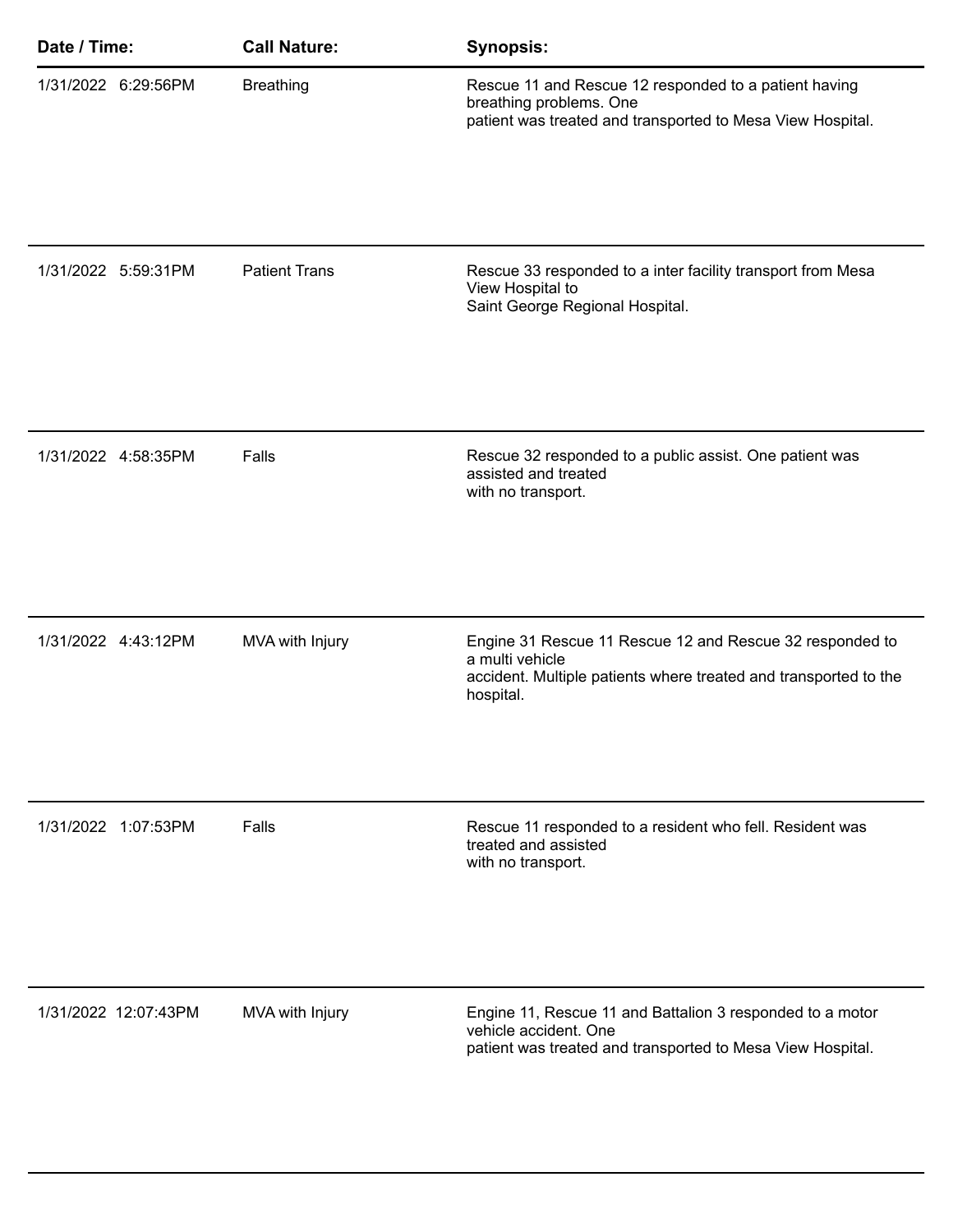| Date / Time:         | <b>Call Nature:</b>  | <b>Synopsis:</b>                                                                                                                                             |
|----------------------|----------------------|--------------------------------------------------------------------------------------------------------------------------------------------------------------|
| 1/31/2022 6:29:56PM  | <b>Breathing</b>     | Rescue 11 and Rescue 12 responded to a patient having<br>breathing problems. One<br>patient was treated and transported to Mesa View Hospital.               |
| 1/31/2022 5:59:31PM  | <b>Patient Trans</b> | Rescue 33 responded to a inter facility transport from Mesa<br>View Hospital to<br>Saint George Regional Hospital.                                           |
| 1/31/2022 4:58:35PM  | Falls                | Rescue 32 responded to a public assist. One patient was<br>assisted and treated<br>with no transport.                                                        |
| 1/31/2022 4:43:12PM  | MVA with Injury      | Engine 31 Rescue 11 Rescue 12 and Rescue 32 responded to<br>a multi vehicle<br>accident. Multiple patients where treated and transported to the<br>hospital. |
| 1/31/2022 1:07:53PM  | Falls                | Rescue 11 responded to a resident who fell. Resident was<br>treated and assisted<br>with no transport.                                                       |
| 1/31/2022 12:07:43PM | MVA with Injury      | Engine 11, Rescue 11 and Battalion 3 responded to a motor<br>vehicle accident. One<br>patient was treated and transported to Mesa View Hospital.             |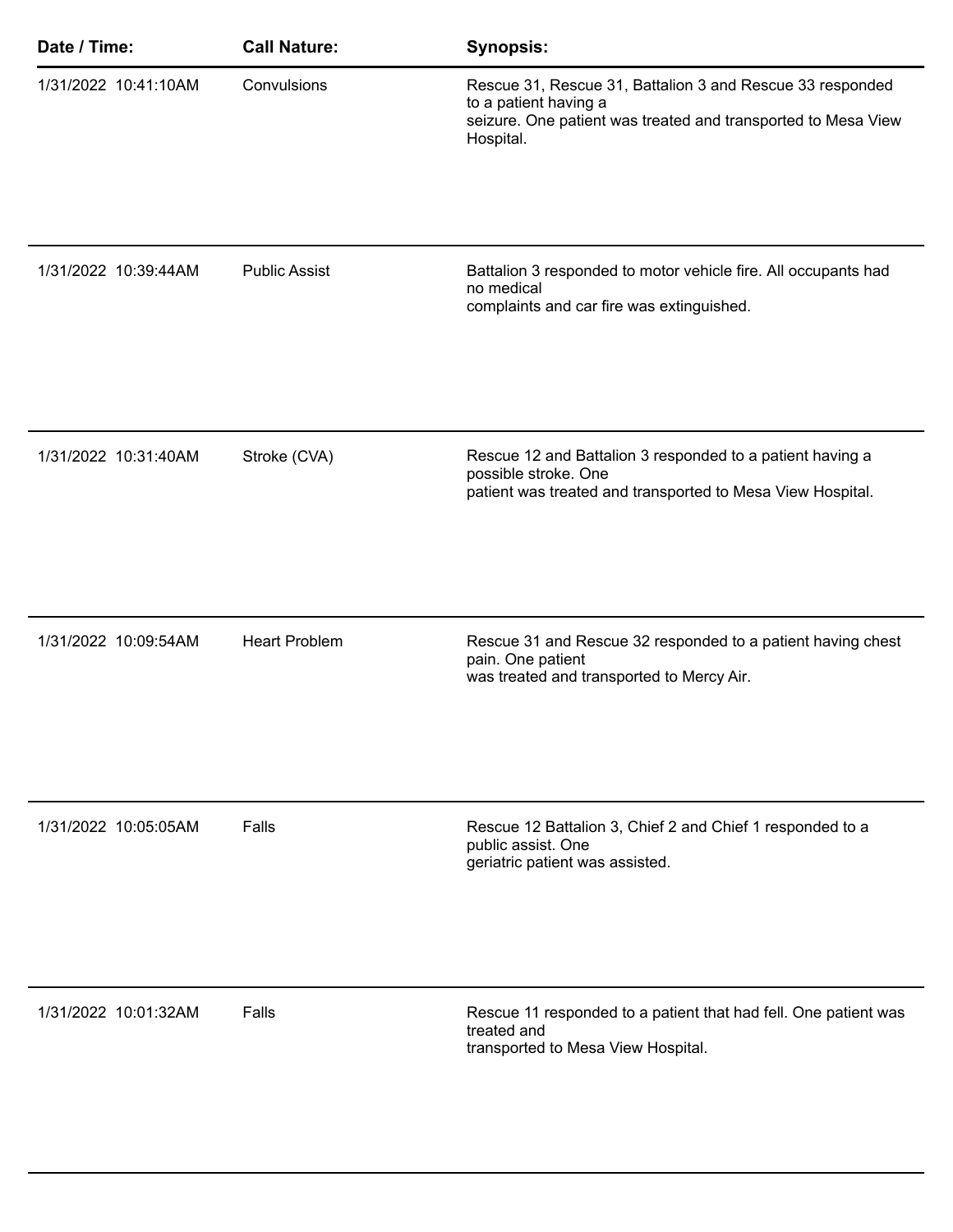| Date / Time:         | <b>Call Nature:</b>  | <b>Synopsis:</b>                                                                                                                                                 |
|----------------------|----------------------|------------------------------------------------------------------------------------------------------------------------------------------------------------------|
| 1/31/2022 10:41:10AM | Convulsions          | Rescue 31, Rescue 31, Battalion 3 and Rescue 33 responded<br>to a patient having a<br>seizure. One patient was treated and transported to Mesa View<br>Hospital. |
| 1/31/2022 10:39:44AM | <b>Public Assist</b> | Battalion 3 responded to motor vehicle fire. All occupants had<br>no medical<br>complaints and car fire was extinguished.                                        |
| 1/31/2022 10:31:40AM | Stroke (CVA)         | Rescue 12 and Battalion 3 responded to a patient having a<br>possible stroke. One<br>patient was treated and transported to Mesa View Hospital.                  |
| 1/31/2022 10:09:54AM | <b>Heart Problem</b> | Rescue 31 and Rescue 32 responded to a patient having chest<br>pain. One patient<br>was treated and transported to Mercy Air.                                    |
| 1/31/2022 10:05:05AM | Falls                | Rescue 12 Battalion 3, Chief 2 and Chief 1 responded to a<br>public assist. One<br>geriatric patient was assisted.                                               |
| 1/31/2022 10:01:32AM | Falls                | Rescue 11 responded to a patient that had fell. One patient was<br>treated and<br>transported to Mesa View Hospital.                                             |